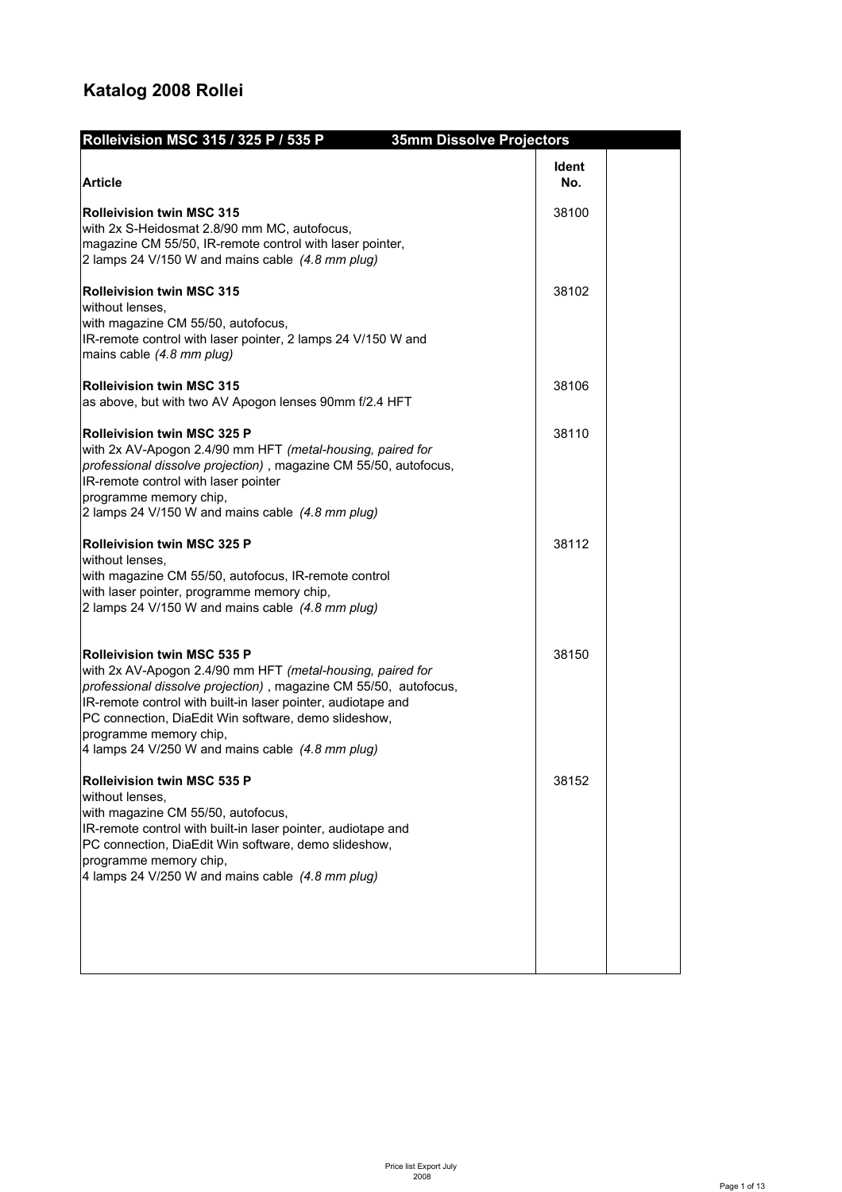## **Katalog 2008 Rollei**

| Rolleivision MSC 315 / 325 P / 535 P                                                                                                                                                                                                                                                                                                                                       | <b>35mm Dissolve Projectors</b> |  |
|----------------------------------------------------------------------------------------------------------------------------------------------------------------------------------------------------------------------------------------------------------------------------------------------------------------------------------------------------------------------------|---------------------------------|--|
| <b>Article</b>                                                                                                                                                                                                                                                                                                                                                             | Ident<br>No.                    |  |
| <b>Rolleivision twin MSC 315</b><br>with 2x S-Heidosmat 2.8/90 mm MC, autofocus,<br>magazine CM 55/50, IR-remote control with laser pointer,<br>2 lamps 24 V/150 W and mains cable (4.8 mm plug)                                                                                                                                                                           | 38100                           |  |
| <b>Rolleivision twin MSC 315</b><br>without lenses,<br>with magazine CM 55/50, autofocus,<br>IR-remote control with laser pointer, 2 lamps 24 V/150 W and<br>mains cable (4.8 mm plug)                                                                                                                                                                                     | 38102                           |  |
| <b>Rolleivision twin MSC 315</b><br>as above, but with two AV Apogon lenses 90mm f/2.4 HFT                                                                                                                                                                                                                                                                                 | 38106                           |  |
| <b>Rolleivision twin MSC 325 P</b><br>with 2x AV-Apogon 2.4/90 mm HFT (metal-housing, paired for<br>professional dissolve projection), magazine CM 55/50, autofocus,<br>IR-remote control with laser pointer<br>programme memory chip,<br>2 lamps 24 V/150 W and mains cable (4.8 mm plug)                                                                                 | 38110                           |  |
| <b>Rolleivision twin MSC 325 P</b><br>without lenses.<br>with magazine CM 55/50, autofocus, IR-remote control<br>with laser pointer, programme memory chip,<br>2 lamps 24 V/150 W and mains cable (4.8 mm plug)                                                                                                                                                            | 38112                           |  |
| <b>Rolleivision twin MSC 535 P</b><br>with 2x AV-Apogon 2.4/90 mm HFT (metal-housing, paired for<br>professional dissolve projection), magazine CM 55/50, autofocus,<br>IR-remote control with built-in laser pointer, audiotape and<br>PC connection, DiaEdit Win software, demo slideshow,<br>programme memory chip,<br>4 lamps 24 V/250 W and mains cable (4.8 mm plug) | 38150                           |  |
| <b>Rolleivision twin MSC 535 P</b><br>without lenses,<br>with magazine CM 55/50, autofocus,<br>IR-remote control with built-in laser pointer, audiotape and<br>PC connection, DiaEdit Win software, demo slideshow,<br>programme memory chip,<br>4 lamps 24 V/250 W and mains cable (4.8 mm plug)                                                                          | 38152                           |  |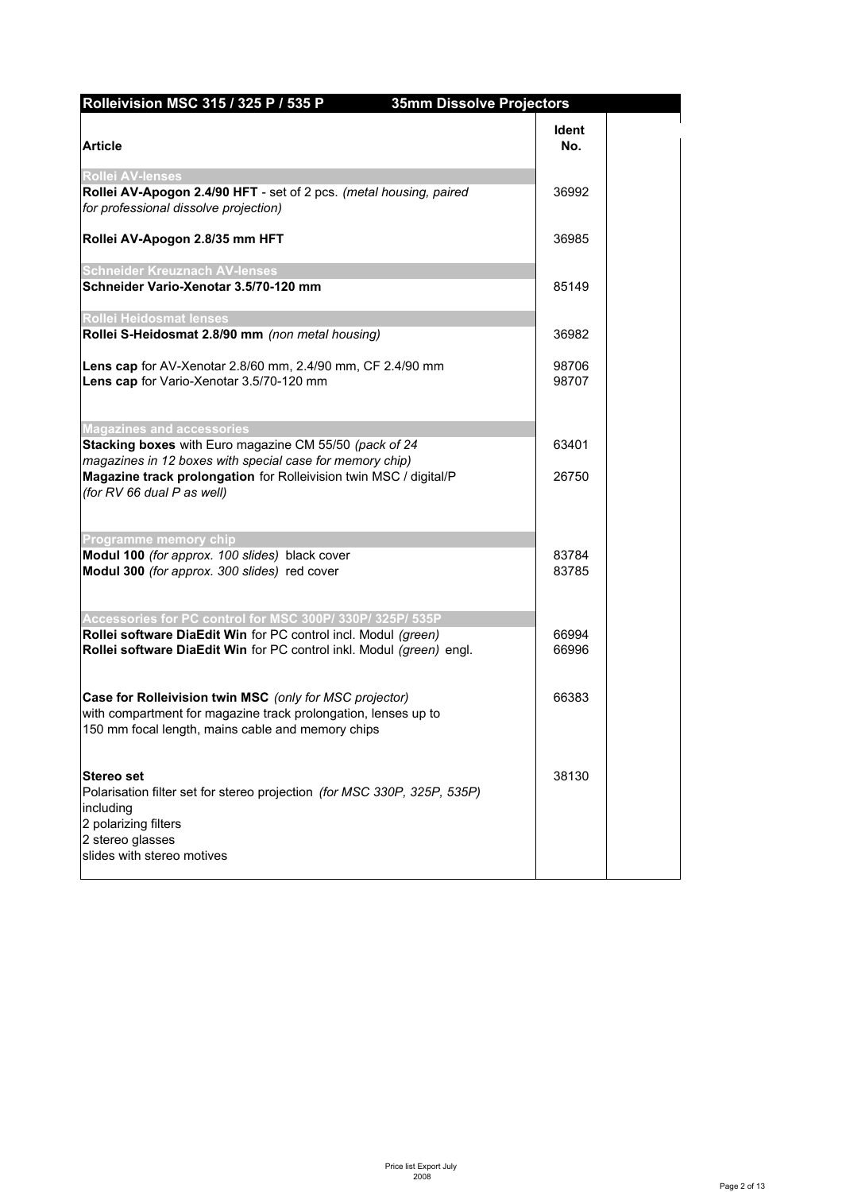| Rolleivision MSC 315 / 325 P / 535 P                                                                                                                                           | <b>35mm Dissolve Projectors</b> |
|--------------------------------------------------------------------------------------------------------------------------------------------------------------------------------|---------------------------------|
| <b>Article</b>                                                                                                                                                                 | <b>Ident</b><br>No.             |
| Rollei AV-lenses                                                                                                                                                               |                                 |
| Rollei AV-Apogon 2.4/90 HFT - set of 2 pcs. (metal housing, paired<br>for professional dissolve projection)                                                                    | 36992                           |
| Rollei AV-Apogon 2.8/35 mm HFT                                                                                                                                                 | 36985                           |
| <b>Schneider Kreuznach AV-lenses</b>                                                                                                                                           |                                 |
| Schneider Vario-Xenotar 3.5/70-120 mm                                                                                                                                          | 85149                           |
| Rollei Heidosmat lenses                                                                                                                                                        |                                 |
| Rollei S-Heidosmat 2.8/90 mm (non metal housing)                                                                                                                               | 36982                           |
| Lens cap for AV-Xenotar 2.8/60 mm, 2.4/90 mm, CF 2.4/90 mm<br>Lens cap for Vario-Xenotar 3.5/70-120 mm                                                                         | 98706<br>98707                  |
| <b>Magazines and accessories</b>                                                                                                                                               |                                 |
| Stacking boxes with Euro magazine CM 55/50 (pack of 24<br>magazines in 12 boxes with special case for memory chip)                                                             | 63401                           |
| Magazine track prolongation for Rolleivision twin MSC / digital/P<br>(for RV 66 dual P as well)                                                                                | 26750                           |
| <b>Programme memory chip</b>                                                                                                                                                   |                                 |
| Modul 100 (for approx. 100 slides) black cover<br>Modul 300 (for approx. 300 slides) red cover                                                                                 | 83784<br>83785                  |
| Accessories for PC control for MSC 300P/330P/325P/535P                                                                                                                         |                                 |
| Rollei software DiaEdit Win for PC control incl. Modul (green)<br>Rollei software DiaEdit Win for PC control inkl. Modul (green) engl.                                         | 66994<br>66996                  |
| Case for Rolleivision twin MSC (only for MSC projector)<br>with compartment for magazine track prolongation, lenses up to<br>150 mm focal length, mains cable and memory chips | 66383                           |
| <b>Stereo set</b><br>Polarisation filter set for stereo projection (for MSC 330P, 325P, 535P)<br>including<br>2 polarizing filters<br>2 stereo glasses                         | 38130                           |
| slides with stereo motives                                                                                                                                                     |                                 |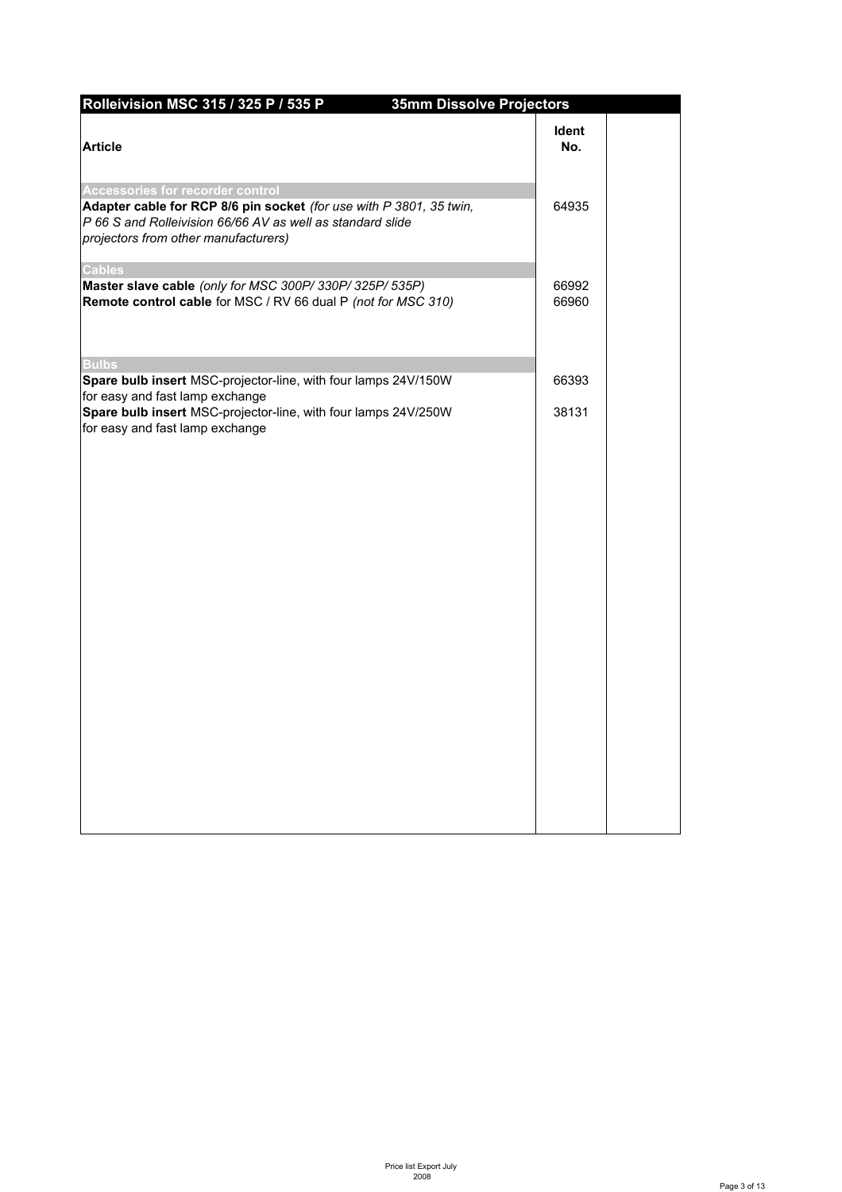| Rolleivision MSC 315 / 325 P / 535 P                                                                                                                                                                          | <b>35mm Dissolve Projectors</b> |                |  |
|---------------------------------------------------------------------------------------------------------------------------------------------------------------------------------------------------------------|---------------------------------|----------------|--|
| <b>Article</b>                                                                                                                                                                                                |                                 | Ident<br>No.   |  |
| Accessories for recorder control<br>Adapter cable for RCP 8/6 pin socket (for use with P 3801, 35 twin,<br>P 66 S and Rolleivision 66/66 AV as well as standard slide<br>projectors from other manufacturers) |                                 | 64935          |  |
| <b>Cables</b><br>Master slave cable (only for MSC 300P/330P/325P/535P)<br>Remote control cable for MSC / RV 66 dual P (not for MSC 310)                                                                       |                                 | 66992<br>66960 |  |
| <b>Bulbs</b>                                                                                                                                                                                                  |                                 |                |  |
| Spare bulb insert MSC-projector-line, with four lamps 24V/150W<br>for easy and fast lamp exchange                                                                                                             |                                 | 66393          |  |
| Spare bulb insert MSC-projector-line, with four lamps 24V/250W<br>for easy and fast lamp exchange                                                                                                             |                                 | 38131          |  |
|                                                                                                                                                                                                               |                                 |                |  |
|                                                                                                                                                                                                               |                                 |                |  |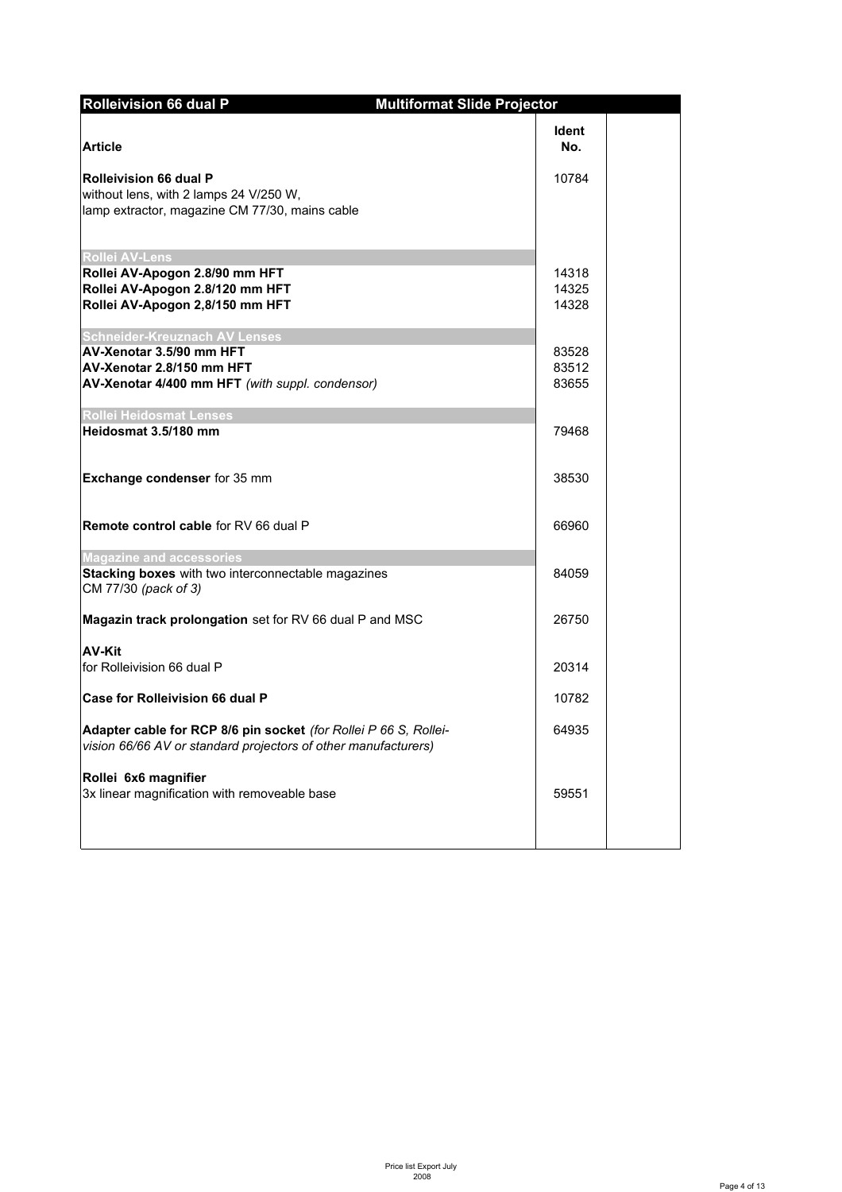| <b>Rolleivision 66 dual P</b>                                                                                                      | <b>Multiformat Slide Projector</b> |  |
|------------------------------------------------------------------------------------------------------------------------------------|------------------------------------|--|
| <b>Article</b>                                                                                                                     | ldent<br>No.                       |  |
| <b>Rolleivision 66 dual P</b><br>without lens, with 2 lamps 24 V/250 W,<br>lamp extractor, magazine CM 77/30, mains cable          | 10784                              |  |
| Rollei AV-Lens                                                                                                                     |                                    |  |
| Rollei AV-Apogon 2.8/90 mm HFT                                                                                                     | 14318                              |  |
| Rollei AV-Apogon 2.8/120 mm HFT<br>Rollei AV-Apogon 2,8/150 mm HFT                                                                 | 14325<br>14328                     |  |
|                                                                                                                                    |                                    |  |
| <b>Schneider-Kreuznach AV Lenses</b>                                                                                               |                                    |  |
| AV-Xenotar 3.5/90 mm HFT                                                                                                           | 83528                              |  |
| AV-Xenotar 2.8/150 mm HFT                                                                                                          | 83512<br>83655                     |  |
| AV-Xenotar 4/400 mm HFT (with suppl. condensor)                                                                                    |                                    |  |
| <b>Rollei Heidosmat Lenses</b>                                                                                                     |                                    |  |
| Heidosmat 3.5/180 mm                                                                                                               | 79468                              |  |
| <b>Exchange condenser</b> for 35 mm                                                                                                | 38530                              |  |
| <b>Remote control cable for RV 66 dual P</b>                                                                                       | 66960                              |  |
| <b>Magazine and accessories</b>                                                                                                    |                                    |  |
| Stacking boxes with two interconnectable magazines<br>CM 77/30 (pack of 3)                                                         | 84059                              |  |
| Magazin track prolongation set for RV 66 dual P and MSC                                                                            | 26750                              |  |
| <b>AV-Kit</b>                                                                                                                      |                                    |  |
| for Rolleivision 66 dual P                                                                                                         | 20314                              |  |
| <b>Case for Rolleivision 66 dual P</b>                                                                                             | 10782                              |  |
| Adapter cable for RCP 8/6 pin socket (for Rollei P 66 S, Rollei-<br>vision 66/66 AV or standard projectors of other manufacturers) | 64935                              |  |
| Rollei 6x6 magnifier<br>3x linear magnification with removeable base                                                               | 59551                              |  |
|                                                                                                                                    |                                    |  |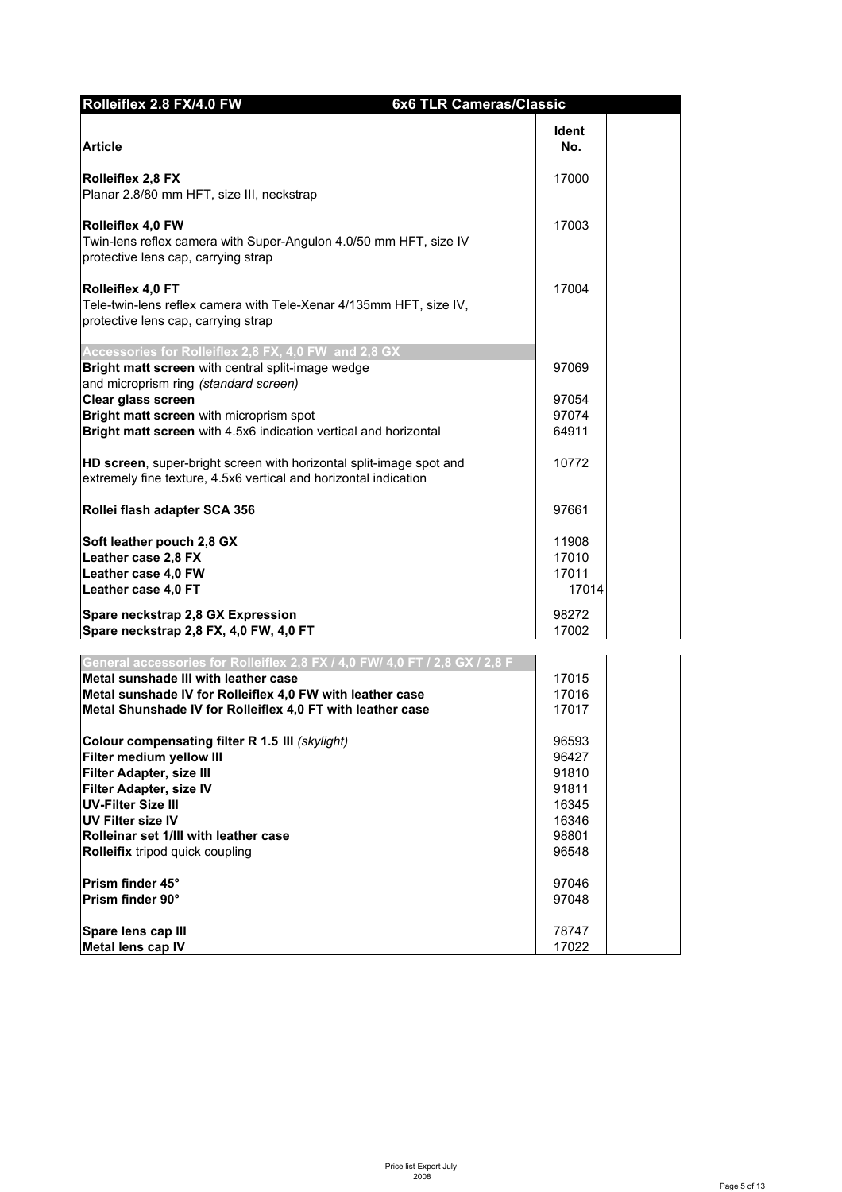| Rolleiflex 2.8 FX/4.0 FW                                                                                  | <b>6x6 TLR Cameras/Classic</b> |  |
|-----------------------------------------------------------------------------------------------------------|--------------------------------|--|
|                                                                                                           | ldent                          |  |
| <b>Article</b>                                                                                            | No.                            |  |
| <b>Rolleiflex 2,8 FX</b>                                                                                  | 17000                          |  |
| Planar 2.8/80 mm HFT, size III, neckstrap                                                                 |                                |  |
|                                                                                                           |                                |  |
| Rolleiflex 4,0 FW                                                                                         | 17003                          |  |
| Twin-lens reflex camera with Super-Angulon 4.0/50 mm HFT, size IV<br>protective lens cap, carrying strap  |                                |  |
|                                                                                                           |                                |  |
| Rolleiflex 4,0 FT                                                                                         | 17004                          |  |
| Tele-twin-lens reflex camera with Tele-Xenar 4/135mm HFT, size IV,<br>protective lens cap, carrying strap |                                |  |
|                                                                                                           |                                |  |
| Accessories for Rolleiflex 2,8 FX, 4,0 FW and 2,8 GX                                                      |                                |  |
| Bright matt screen with central split-image wedge<br>and microprism ring (standard screen)                | 97069                          |  |
| Clear glass screen                                                                                        | 97054                          |  |
| Bright matt screen with microprism spot                                                                   | 97074                          |  |
| Bright matt screen with 4.5x6 indication vertical and horizontal                                          | 64911                          |  |
|                                                                                                           |                                |  |
| HD screen, super-bright screen with horizontal split-image spot and                                       | 10772                          |  |
| extremely fine texture, 4.5x6 vertical and horizontal indication                                          |                                |  |
| Rollei flash adapter SCA 356                                                                              | 97661                          |  |
| Soft leather pouch 2,8 GX                                                                                 | 11908                          |  |
| Leather case 2,8 FX                                                                                       | 17010                          |  |
| Leather case 4,0 FW                                                                                       | 17011                          |  |
| Leather case 4,0 FT                                                                                       | 17014                          |  |
| Spare neckstrap 2,8 GX Expression                                                                         | 98272                          |  |
| Spare neckstrap 2,8 FX, 4,0 FW, 4,0 FT                                                                    | 17002                          |  |
| General accessories for Rolleiflex 2,8 FX / 4,0 FW/ 4,0 FT / 2,8 GX / 2,8 F                               |                                |  |
| Metal sunshade III with leather case                                                                      | 17015                          |  |
| Metal sunshade IV for Rolleiflex 4.0 FW with leather case                                                 | 17016                          |  |
| Metal Shunshade IV for Rolleiflex 4,0 FT with leather case                                                | 17017                          |  |
|                                                                                                           |                                |  |
| Colour compensating filter R 1.5 III (skylight)<br>Filter medium yellow III                               | 96593<br>96427                 |  |
| Filter Adapter, size III                                                                                  | 91810                          |  |
| Filter Adapter, size IV                                                                                   | 91811                          |  |
| <b>UV-Filter Size III</b>                                                                                 | 16345                          |  |
| <b>UV Filter size IV</b>                                                                                  | 16346                          |  |
| Rolleinar set 1/III with leather case                                                                     | 98801                          |  |
| Rolleifix tripod quick coupling                                                                           | 96548                          |  |
|                                                                                                           |                                |  |
| Prism finder 45°                                                                                          | 97046                          |  |
| Prism finder 90°                                                                                          | 97048                          |  |
| Spare lens cap III                                                                                        | 78747                          |  |
| Metal lens cap IV                                                                                         | 17022                          |  |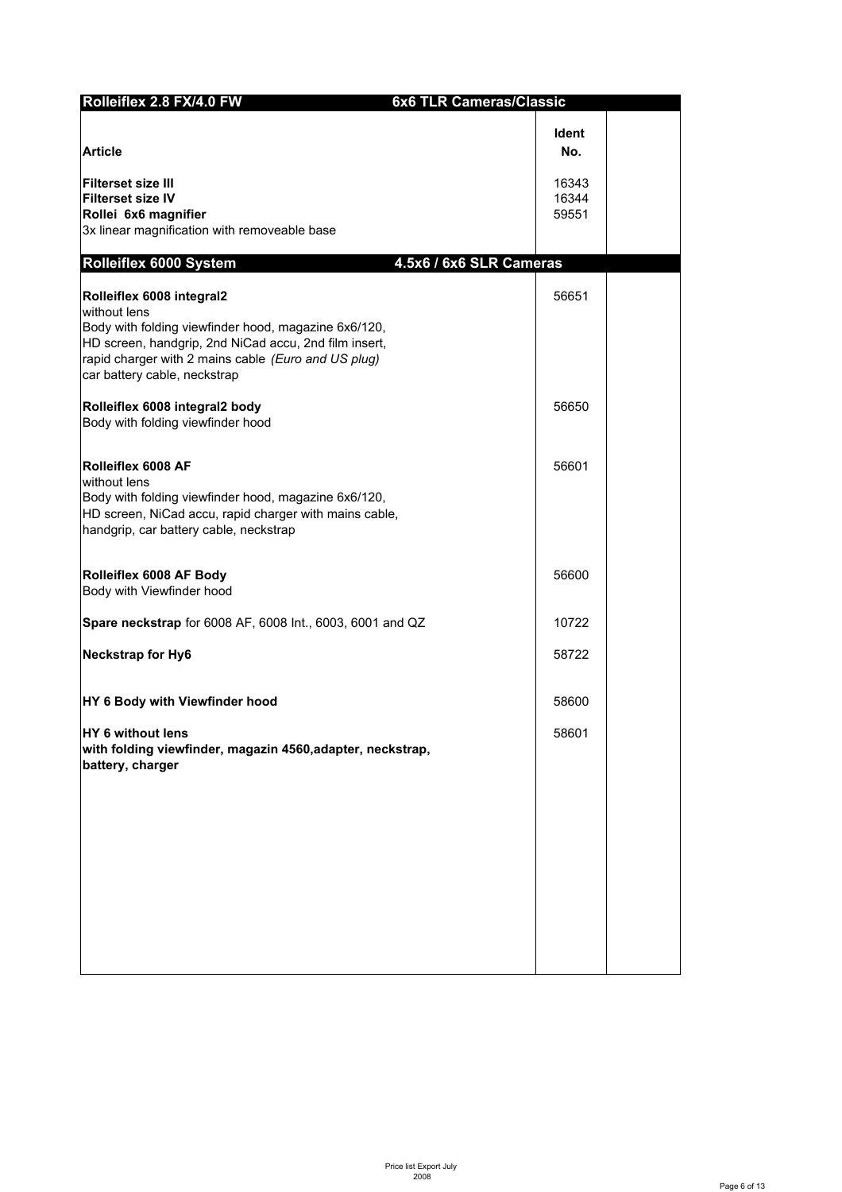| Rolleiflex 2.8 FX/4.0 FW                                                                                                                                                                                                                          | <b>6x6 TLR Cameras/Classic</b> |  |
|---------------------------------------------------------------------------------------------------------------------------------------------------------------------------------------------------------------------------------------------------|--------------------------------|--|
| <b>Article</b>                                                                                                                                                                                                                                    | <b>Ident</b><br>No.            |  |
| <b>Filterset size III</b><br><b>Filterset size IV</b><br>Rollei 6x6 magnifier<br>3x linear magnification with removeable base                                                                                                                     | 16343<br>16344<br>59551        |  |
| Rolleiflex 6000 System                                                                                                                                                                                                                            | 4.5x6 / 6x6 SLR Cameras        |  |
| Rolleiflex 6008 integral2<br>without lens<br>Body with folding viewfinder hood, magazine 6x6/120,<br>HD screen, handgrip, 2nd NiCad accu, 2nd film insert,<br>rapid charger with 2 mains cable (Euro and US plug)<br>car battery cable, neckstrap | 56651                          |  |
| Rolleiflex 6008 integral2 body<br>Body with folding viewfinder hood                                                                                                                                                                               | 56650                          |  |
| Rolleiflex 6008 AF<br>without lens<br>Body with folding viewfinder hood, magazine 6x6/120,<br>HD screen, NiCad accu, rapid charger with mains cable,<br>handgrip, car battery cable, neckstrap                                                    | 56601                          |  |
| Rolleiflex 6008 AF Body<br>Body with Viewfinder hood                                                                                                                                                                                              | 56600                          |  |
| Spare neckstrap for 6008 AF, 6008 Int., 6003, 6001 and QZ                                                                                                                                                                                         | 10722                          |  |
| <b>Neckstrap for Hy6</b>                                                                                                                                                                                                                          | 58722                          |  |
| HY 6 Body with Viewfinder hood                                                                                                                                                                                                                    | 58600                          |  |
| HY 6 without lens<br>with folding viewfinder, magazin 4560, adapter, neckstrap,<br>battery, charger                                                                                                                                               | 58601                          |  |
|                                                                                                                                                                                                                                                   |                                |  |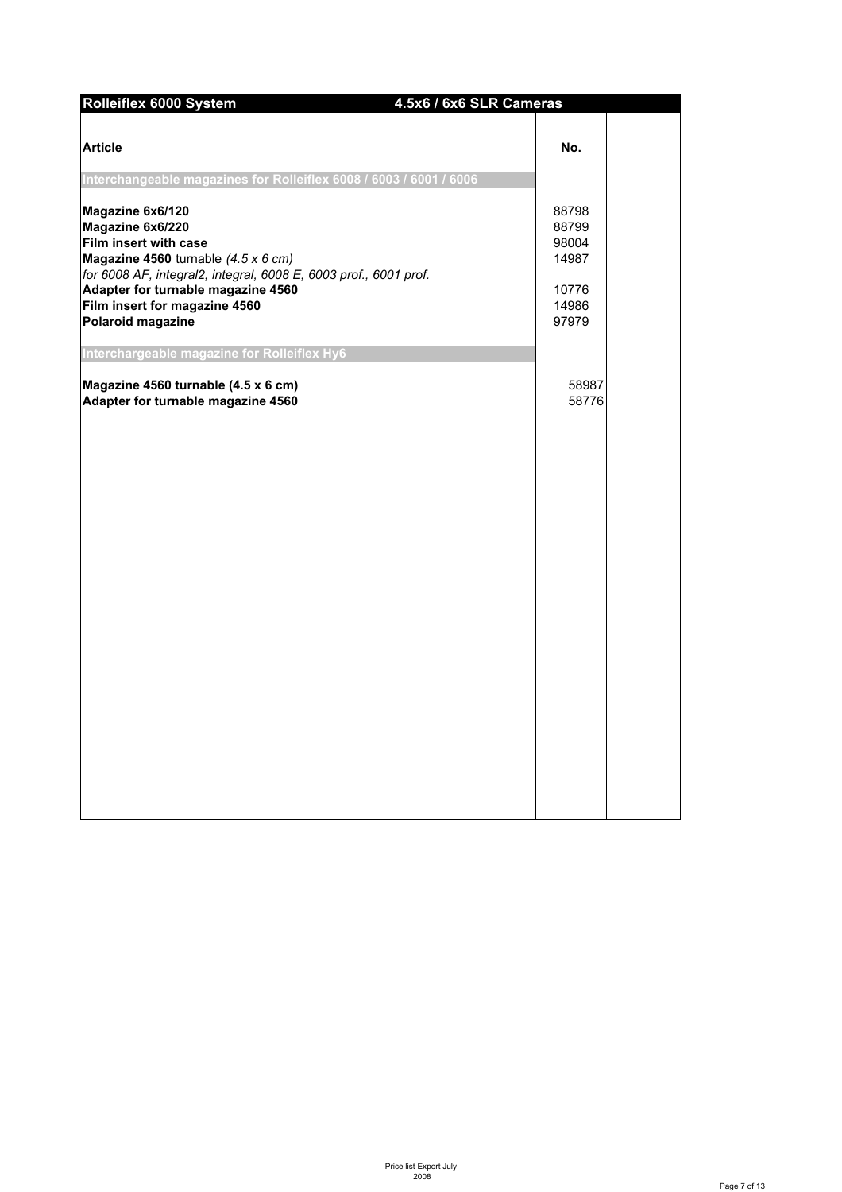| Rolleiflex 6000 System<br>4.5x6 / 6x6 SLR Cameras                                                                                                                                                                                                                                   |                                                             |
|-------------------------------------------------------------------------------------------------------------------------------------------------------------------------------------------------------------------------------------------------------------------------------------|-------------------------------------------------------------|
| <b>Article</b>                                                                                                                                                                                                                                                                      | No.                                                         |
| Interchangeable magazines for Rolleiflex 6008 / 6003 / 6001 / 6006                                                                                                                                                                                                                  |                                                             |
| Magazine 6x6/120<br>Magazine 6x6/220<br>Film insert with case<br>Magazine 4560 turnable $(4.5 \times 6 \text{ cm})$<br>for 6008 AF, integral2, integral, 6008 E, 6003 prof., 6001 prof.<br>Adapter for turnable magazine 4560<br>Film insert for magazine 4560<br>Polaroid magazine | 88798<br>88799<br>98004<br>14987<br>10776<br>14986<br>97979 |
| Interchargeable magazine for Rolleiflex Hy6                                                                                                                                                                                                                                         |                                                             |
| Magazine 4560 turnable (4.5 x 6 cm)<br>Adapter for turnable magazine 4560                                                                                                                                                                                                           | 58987<br>58776                                              |
|                                                                                                                                                                                                                                                                                     |                                                             |
|                                                                                                                                                                                                                                                                                     |                                                             |
|                                                                                                                                                                                                                                                                                     |                                                             |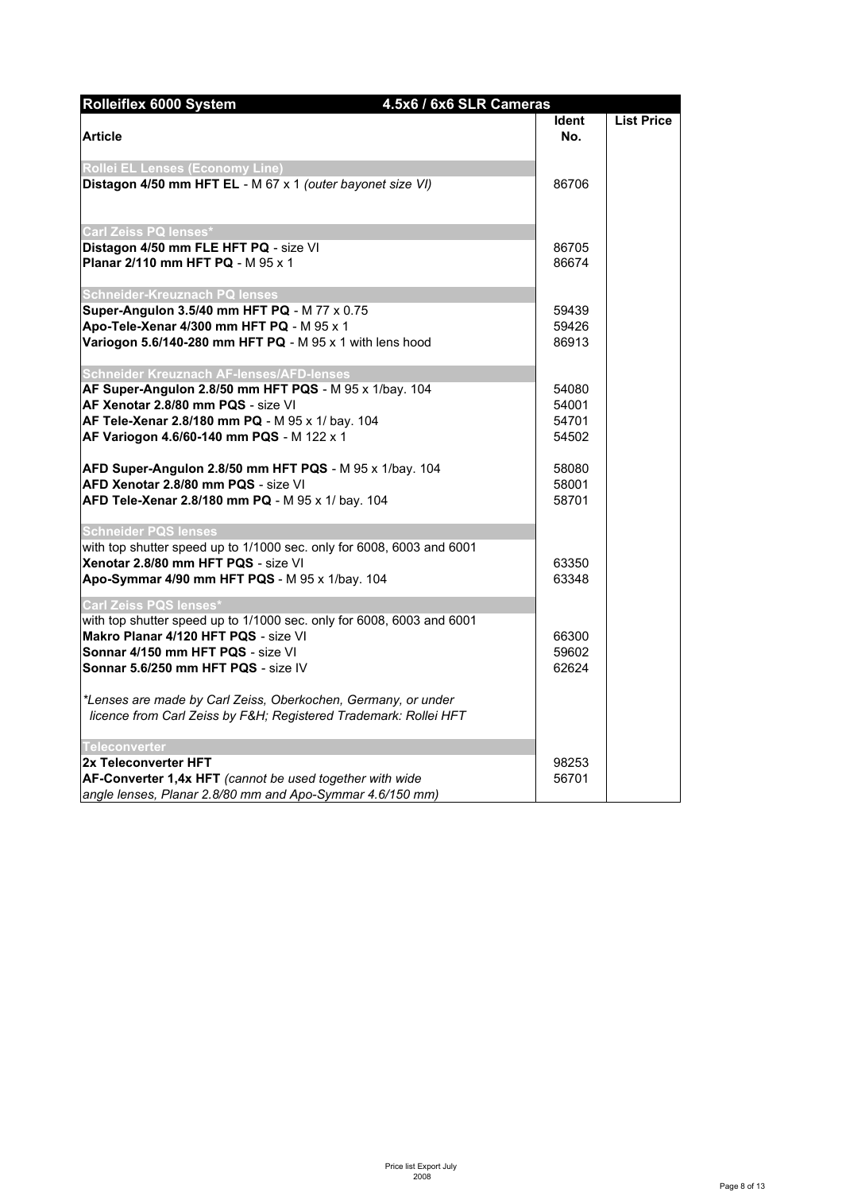| Rolleiflex 6000 System<br>4.5x6 / 6x6 SLR Cameras                                                                                |              |                   |
|----------------------------------------------------------------------------------------------------------------------------------|--------------|-------------------|
|                                                                                                                                  | <b>Ident</b> | <b>List Price</b> |
| <b>Article</b>                                                                                                                   | No.          |                   |
| Rollei EL Lenses (Economy Line)                                                                                                  |              |                   |
| Distagon 4/50 mm HFT EL - M 67 x 1 (outer bayonet size VI)                                                                       | 86706        |                   |
| Carl Zeiss PQ lenses*                                                                                                            |              |                   |
| Distagon 4/50 mm FLE HFT PQ - size VI                                                                                            | 86705        |                   |
| Planar 2/110 mm HFT PQ - M 95 x 1                                                                                                | 86674        |                   |
| <b>Schneider-Kreuznach PQ lenses</b>                                                                                             |              |                   |
| Super-Angulon 3.5/40 mm HFT PQ - M 77 x 0.75                                                                                     | 59439        |                   |
| Apo-Tele-Xenar 4/300 mm HFT PQ - M 95 x 1                                                                                        | 59426        |                   |
| Variogon 5.6/140-280 mm HFT PQ - M 95 x 1 with lens hood                                                                         | 86913        |                   |
| Schneider Kreuznach AF-lenses/AFD-lenses                                                                                         |              |                   |
| AF Super-Angulon 2.8/50 mm HFT PQS - M 95 x 1/bay. 104                                                                           | 54080        |                   |
| AF Xenotar 2.8/80 mm PQS - size VI                                                                                               | 54001        |                   |
| AF Tele-Xenar 2.8/180 mm PQ - M 95 x 1/ bay. 104                                                                                 | 54701        |                   |
| AF Variogon 4.6/60-140 mm PQS - M 122 x 1                                                                                        | 54502        |                   |
| AFD Super-Angulon 2.8/50 mm HFT PQS - M 95 x 1/bay. 104                                                                          | 58080        |                   |
| AFD Xenotar 2.8/80 mm PQS - size VI                                                                                              | 58001        |                   |
| AFD Tele-Xenar 2.8/180 mm PQ - M 95 x 1/ bay. 104                                                                                | 58701        |                   |
| <b>Schneider PQS lenses</b>                                                                                                      |              |                   |
| with top shutter speed up to 1/1000 sec. only for 6008, 6003 and 6001                                                            |              |                   |
| Xenotar 2.8/80 mm HFT PQS - size VI                                                                                              | 63350        |                   |
| Apo-Symmar 4/90 mm HFT PQS - M 95 x 1/bay. 104                                                                                   | 63348        |                   |
| Carl Zeiss PQS lenses*<br>with top shutter speed up to 1/1000 sec. only for 6008, 6003 and 6001                                  |              |                   |
| Makro Planar 4/120 HFT PQS - size VI                                                                                             | 66300        |                   |
| Sonnar 4/150 mm HFT PQS - size VI                                                                                                | 59602        |                   |
| Sonnar 5.6/250 mm HFT PQS - size IV                                                                                              | 62624        |                   |
|                                                                                                                                  |              |                   |
| *Lenses are made by Carl Zeiss, Oberkochen, Germany, or under<br>licence from Carl Zeiss by F&H Registered Trademark: Rollei HFT |              |                   |
|                                                                                                                                  |              |                   |
| <b>Teleconverter</b><br>2x Teleconverter HFT                                                                                     | 98253        |                   |
| AF-Converter 1,4x HFT (cannot be used together with wide                                                                         | 56701        |                   |
| angle lenses, Planar 2.8/80 mm and Apo-Symmar 4.6/150 mm)                                                                        |              |                   |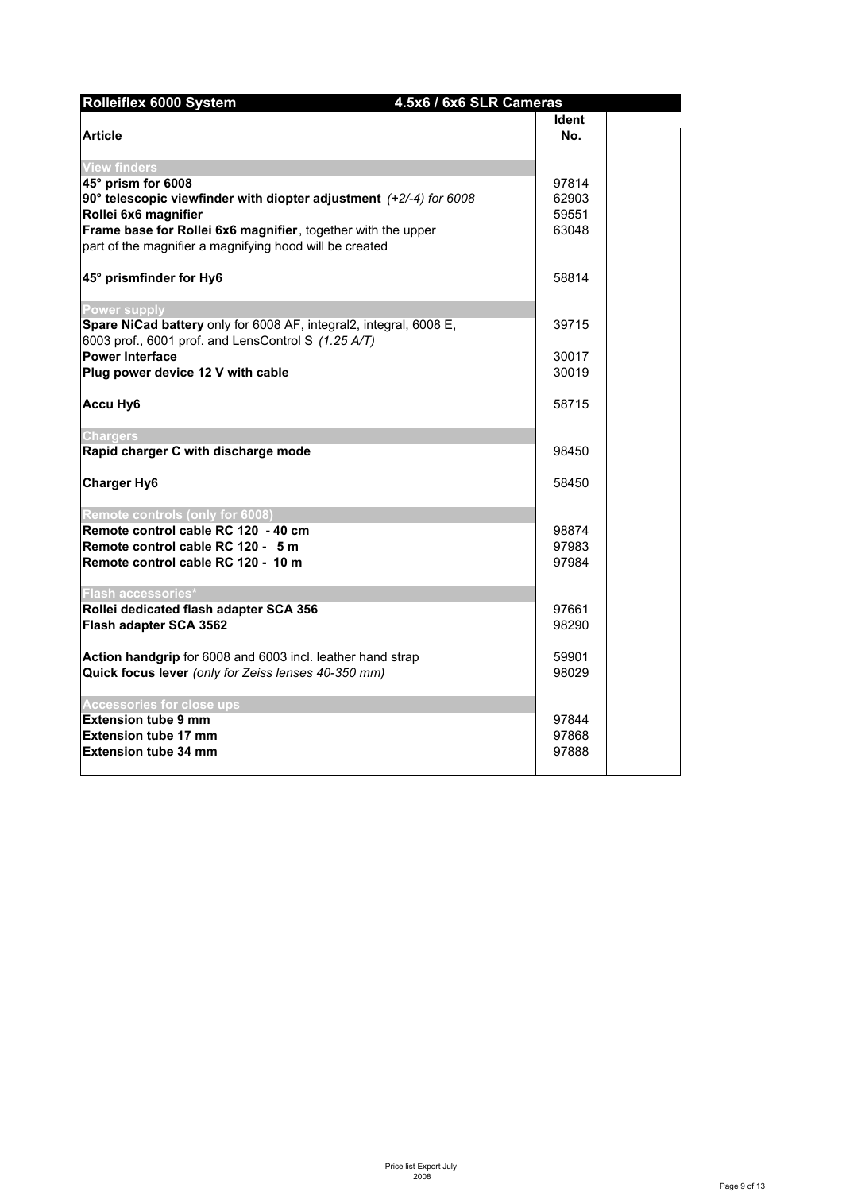| Rolleiflex 6000 System                                                      | 4.5x6 / 6x6 SLR Cameras |       |
|-----------------------------------------------------------------------------|-------------------------|-------|
|                                                                             |                         | ldent |
| <b>Article</b>                                                              |                         | No.   |
|                                                                             |                         |       |
| <b>View finders</b>                                                         |                         |       |
| 45° prism for 6008                                                          |                         | 97814 |
| 90 $\degree$ telescopic viewfinder with diopter adjustment (+2/-4) for 6008 |                         | 62903 |
| Rollei 6x6 magnifier                                                        |                         | 59551 |
| Frame base for Rollei 6x6 magnifier, together with the upper                |                         | 63048 |
| part of the magnifier a magnifying hood will be created                     |                         |       |
| 45° prismfinder for Hy6                                                     |                         | 58814 |
|                                                                             |                         |       |
| <b>Power supply</b>                                                         |                         |       |
| Spare NiCad battery only for 6008 AF, integral2, integral, 6008 E,          |                         | 39715 |
| 6003 prof., 6001 prof. and LensControl S $(1.25 \text{ A/T})$               |                         |       |
| <b>Power Interface</b>                                                      |                         | 30017 |
| Plug power device 12 V with cable                                           |                         | 30019 |
|                                                                             |                         |       |
| <b>Accu Hy6</b>                                                             |                         | 58715 |
| <b>Chargers</b>                                                             |                         |       |
| Rapid charger C with discharge mode                                         |                         | 98450 |
|                                                                             |                         |       |
| <b>Charger Hy6</b>                                                          |                         | 58450 |
|                                                                             |                         |       |
| Remote controls (only for 6008)                                             |                         |       |
| Remote control cable RC 120 - 40 cm                                         |                         | 98874 |
| Remote control cable RC 120 - 5 m                                           |                         | 97983 |
| Remote control cable RC 120 - 10 m                                          |                         | 97984 |
| <b>Flash accessories*</b>                                                   |                         |       |
| Rollei dedicated flash adapter SCA 356                                      |                         | 97661 |
| Flash adapter SCA 3562                                                      |                         | 98290 |
|                                                                             |                         |       |
| Action handgrip for 6008 and 6003 incl. leather hand strap                  |                         | 59901 |
| Quick focus lever (only for Zeiss lenses 40-350 mm)                         |                         | 98029 |
|                                                                             |                         |       |
| <b>Accessories for close ups</b>                                            |                         |       |
| <b>Extension tube 9 mm</b>                                                  |                         | 97844 |
| <b>Extension tube 17 mm</b>                                                 |                         | 97868 |
| <b>Extension tube 34 mm</b>                                                 |                         | 97888 |
|                                                                             |                         |       |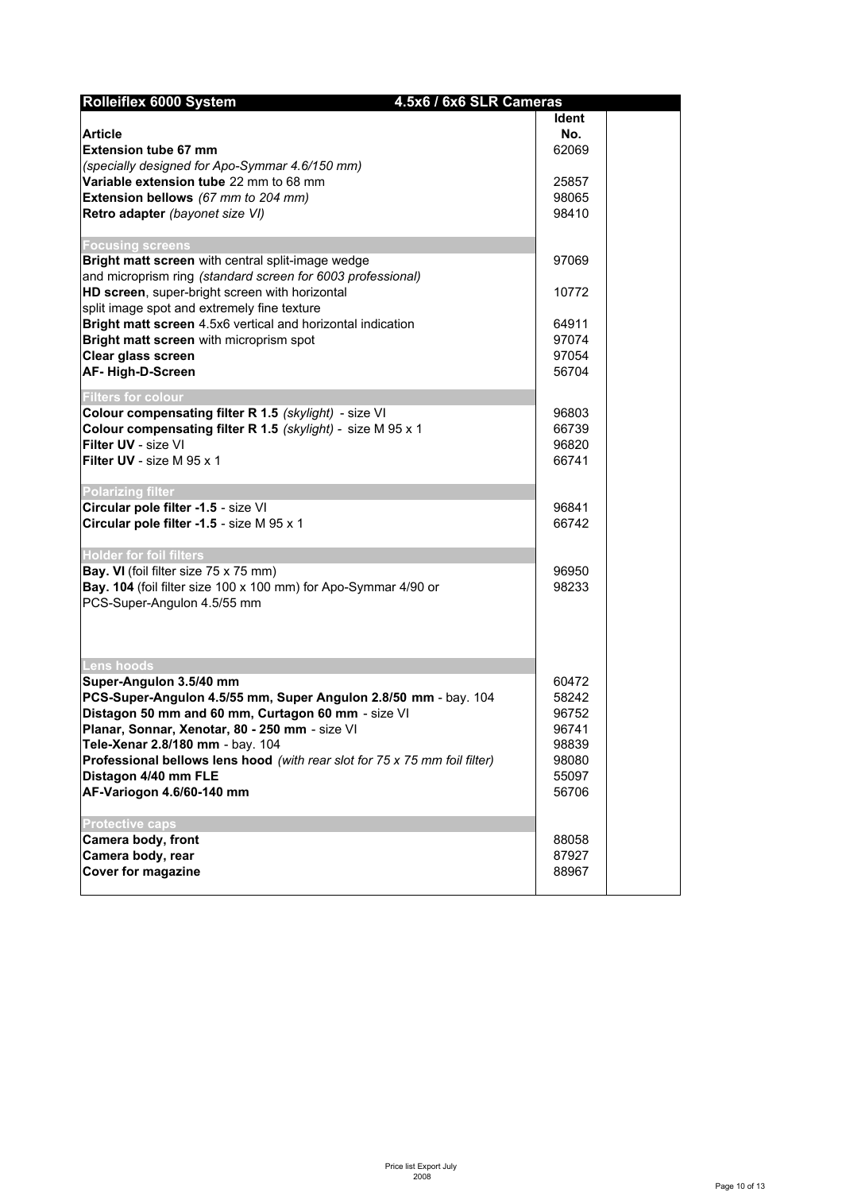| Rolleiflex 6000 System                                                     | 4.5x6 / 6x6 SLR Cameras |       |  |
|----------------------------------------------------------------------------|-------------------------|-------|--|
|                                                                            |                         | Ident |  |
| <b>Article</b>                                                             |                         | No.   |  |
| <b>Extension tube 67 mm</b>                                                |                         | 62069 |  |
| (specially designed for Apo-Symmar 4.6/150 mm)                             |                         |       |  |
| Variable extension tube 22 mm to 68 mm                                     |                         | 25857 |  |
| Extension bellows (67 mm to 204 mm)                                        |                         | 98065 |  |
| Retro adapter (bayonet size VI)                                            |                         | 98410 |  |
| <b>Focusing screens</b>                                                    |                         |       |  |
| Bright matt screen with central split-image wedge                          |                         | 97069 |  |
| and microprism ring (standard screen for 6003 professional)                |                         |       |  |
| HD screen, super-bright screen with horizontal                             |                         | 10772 |  |
| split image spot and extremely fine texture                                |                         |       |  |
| Bright matt screen 4.5x6 vertical and horizontal indication                |                         | 64911 |  |
| Bright matt screen with microprism spot                                    |                         | 97074 |  |
| Clear glass screen                                                         |                         | 97054 |  |
| AF-High-D-Screen                                                           |                         | 56704 |  |
| <b>Filters for colour</b>                                                  |                         |       |  |
| Colour compensating filter R 1.5 (skylight) - size VI                      |                         | 96803 |  |
| Colour compensating filter R 1.5 (skylight) - size M 95 x 1                |                         | 66739 |  |
| Filter UV - size VI                                                        |                         | 96820 |  |
| <b>Filter UV</b> - size M 95 x 1                                           |                         | 66741 |  |
| <b>Polarizing filter</b>                                                   |                         |       |  |
| Circular pole filter -1.5 - size VI                                        |                         | 96841 |  |
| Circular pole filter -1.5 - size M 95 x 1                                  |                         | 66742 |  |
| <b>Holder for foil filters</b>                                             |                         |       |  |
| Bay. VI (foil filter size 75 x 75 mm)                                      |                         | 96950 |  |
| Bay. 104 (foil filter size 100 x 100 mm) for Apo-Symmar 4/90 or            |                         | 98233 |  |
| PCS-Super-Angulon 4.5/55 mm                                                |                         |       |  |
|                                                                            |                         |       |  |
|                                                                            |                         |       |  |
| <b>Lens hoods</b>                                                          |                         |       |  |
| Super-Angulon 3.5/40 mm                                                    |                         | 60472 |  |
| PCS-Super-Angulon 4.5/55 mm, Super Angulon 2.8/50 mm - bay. 104            |                         | 58242 |  |
| Distagon 50 mm and 60 mm, Curtagon 60 mm - size VI                         |                         | 96752 |  |
| Planar, Sonnar, Xenotar, 80 - 250 mm - size VI                             |                         | 96741 |  |
| Tele-Xenar 2.8/180 mm - bay. 104                                           |                         | 98839 |  |
| Professional bellows lens hood (with rear slot for 75 x 75 mm foil filter) |                         | 98080 |  |
| Distagon 4/40 mm FLE                                                       |                         | 55097 |  |
| AF-Variogon 4.6/60-140 mm                                                  |                         | 56706 |  |
| <b>Protective caps</b>                                                     |                         |       |  |
| Camera body, front                                                         |                         | 88058 |  |
| Camera body, rear                                                          |                         | 87927 |  |
| <b>Cover for magazine</b>                                                  |                         | 88967 |  |
|                                                                            |                         |       |  |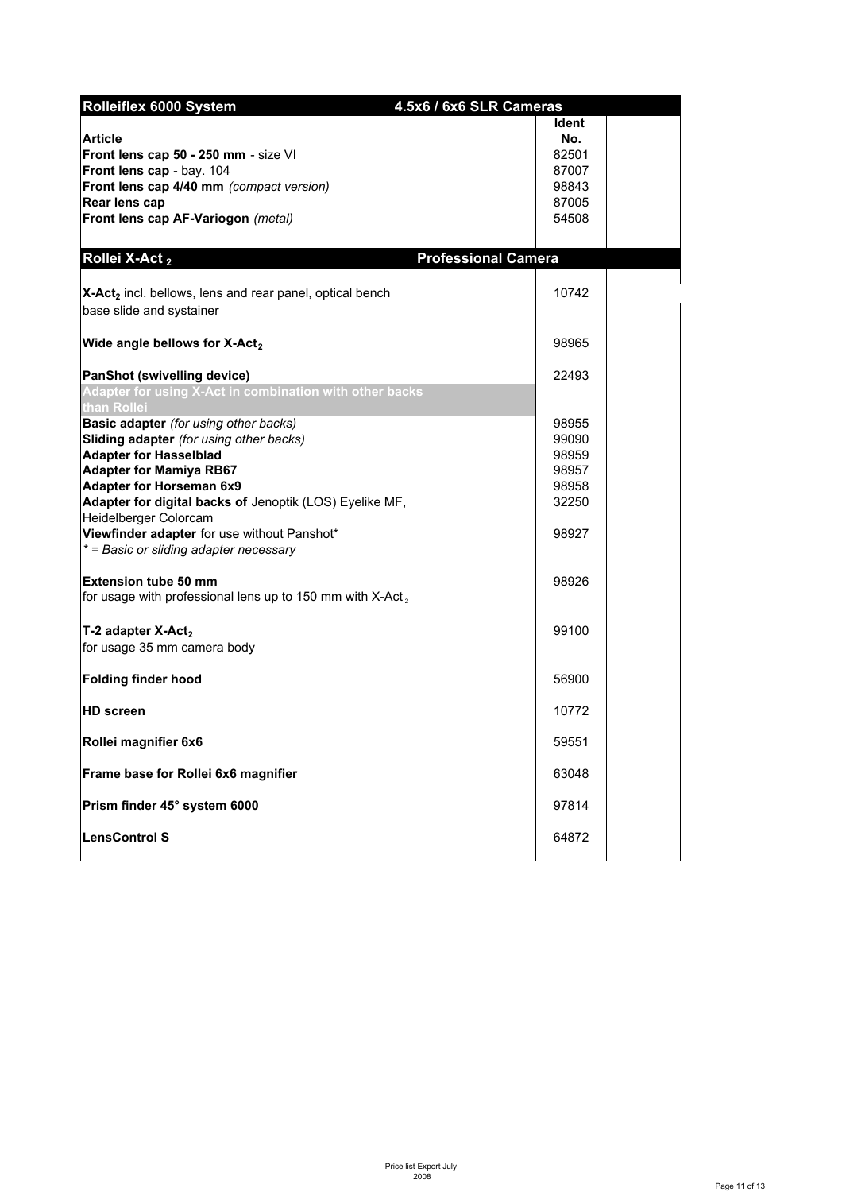| Rolleiflex 6000 System                                                                                                                                                                                                                                                                                                                                                                                    | 4.5x6 / 6x6 SLR Cameras                                              |  |
|-----------------------------------------------------------------------------------------------------------------------------------------------------------------------------------------------------------------------------------------------------------------------------------------------------------------------------------------------------------------------------------------------------------|----------------------------------------------------------------------|--|
| <b>Article</b><br>Front lens cap 50 - 250 mm - size VI<br>Front lens cap - bay. 104<br>Front lens cap 4/40 mm (compact version)<br>Rear lens cap<br>Front lens cap AF-Variogon (metal)                                                                                                                                                                                                                    | Ident<br>No.<br>82501<br>87007<br>98843<br>87005<br>54508            |  |
| Rollei X-Act <sub>2</sub>                                                                                                                                                                                                                                                                                                                                                                                 | <b>Professional Camera</b>                                           |  |
| X-Act <sub>2</sub> incl. bellows, lens and rear panel, optical bench<br>base slide and systainer                                                                                                                                                                                                                                                                                                          | 10742                                                                |  |
| Wide angle bellows for X-Act <sub>2</sub>                                                                                                                                                                                                                                                                                                                                                                 | 98965                                                                |  |
| <b>PanShot (swivelling device)</b><br>Adapter for using X-Act in combination with other backs<br>than Rollei                                                                                                                                                                                                                                                                                              | 22493                                                                |  |
| <b>Basic adapter</b> (for using other backs)<br>Sliding adapter (for using other backs)<br><b>Adapter for Hasselblad</b><br><b>Adapter for Mamiya RB67</b><br><b>Adapter for Horseman 6x9</b><br>Adapter for digital backs of Jenoptik (LOS) Eyelike MF,<br>Heidelberger Colorcam<br>Viewfinder adapter for use without Panshot*<br>* = Basic or sliding adapter necessary<br><b>Extension tube 50 mm</b> | 98955<br>99090<br>98959<br>98957<br>98958<br>32250<br>98927<br>98926 |  |
| for usage with professional lens up to 150 mm with X-Act <sub>2</sub><br>T-2 adapter X-Act <sub>2</sub><br>for usage 35 mm camera body                                                                                                                                                                                                                                                                    | 99100                                                                |  |
| <b>Folding finder hood</b>                                                                                                                                                                                                                                                                                                                                                                                | 56900                                                                |  |
| <b>HD</b> screen                                                                                                                                                                                                                                                                                                                                                                                          | 10772                                                                |  |
| Rollei magnifier 6x6                                                                                                                                                                                                                                                                                                                                                                                      | 59551                                                                |  |
| Frame base for Rollei 6x6 magnifier                                                                                                                                                                                                                                                                                                                                                                       | 63048                                                                |  |
| Prism finder 45° system 6000                                                                                                                                                                                                                                                                                                                                                                              | 97814                                                                |  |
| <b>LensControl S</b>                                                                                                                                                                                                                                                                                                                                                                                      | 64872                                                                |  |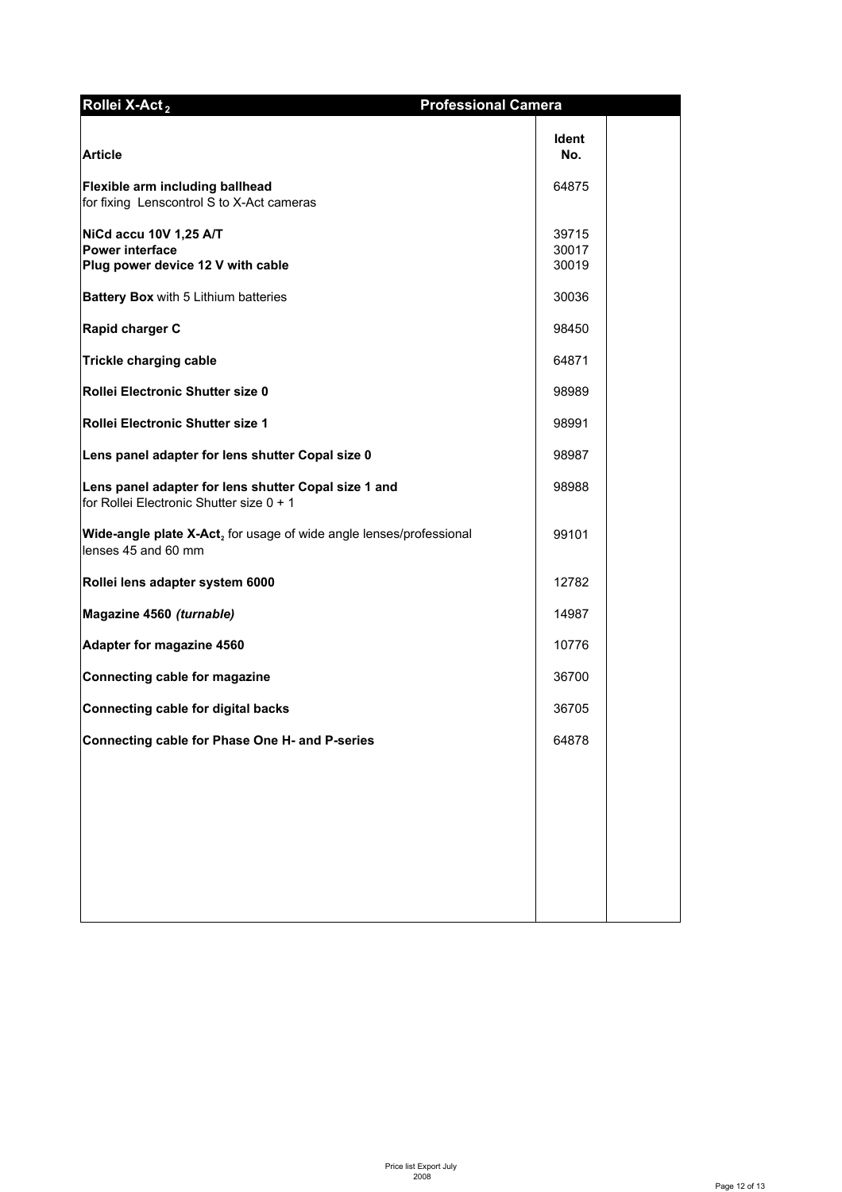| Rollei X-Act <sub>2</sub>                                                                        | <b>Professional Camera</b> |  |
|--------------------------------------------------------------------------------------------------|----------------------------|--|
| <b>Article</b>                                                                                   | <b>Ident</b><br>No.        |  |
| Flexible arm including ballhead<br>for fixing Lenscontrol S to X-Act cameras                     | 64875                      |  |
| NiCd accu 10V 1,25 A/T<br><b>Power interface</b><br>Plug power device 12 V with cable            | 39715<br>30017<br>30019    |  |
| Battery Box with 5 Lithium batteries                                                             | 30036                      |  |
| Rapid charger C                                                                                  | 98450                      |  |
| <b>Trickle charging cable</b>                                                                    | 64871                      |  |
| Rollei Electronic Shutter size 0                                                                 | 98989                      |  |
| Rollei Electronic Shutter size 1                                                                 | 98991                      |  |
| Lens panel adapter for lens shutter Copal size 0                                                 | 98987                      |  |
| Lens panel adapter for lens shutter Copal size 1 and<br>for Rollei Electronic Shutter size 0 + 1 | 98988                      |  |
| Wide-angle plate X-Act, for usage of wide angle lenses/professional<br>lenses 45 and 60 mm       | 99101                      |  |
| Rollei lens adapter system 6000                                                                  | 12782                      |  |
| Magazine 4560 (turnable)                                                                         | 14987                      |  |
| Adapter for magazine 4560                                                                        | 10776                      |  |
| Connecting cable for magazine                                                                    | 36700                      |  |
| <b>Connecting cable for digital backs</b>                                                        | 36705                      |  |
| Connecting cable for Phase One H- and P-series                                                   | 64878                      |  |
|                                                                                                  |                            |  |
|                                                                                                  |                            |  |
|                                                                                                  |                            |  |
|                                                                                                  |                            |  |
|                                                                                                  |                            |  |
|                                                                                                  |                            |  |